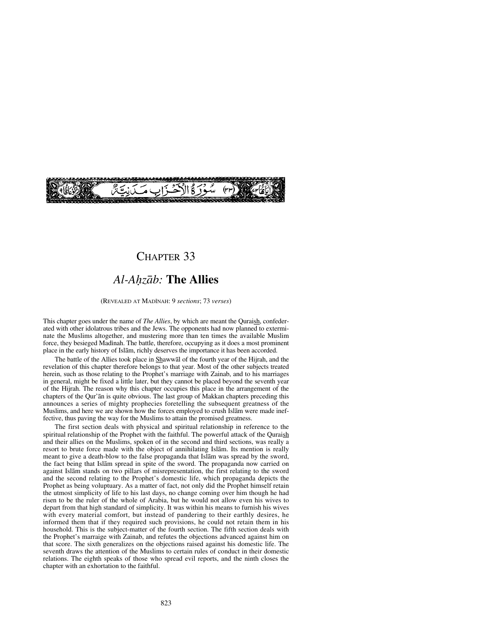

## CHAPTER 33

# *Al-A√zåb:* **The Allies**

#### (REVEALED AT MADÍNAH: 9 *sections*; 73 *verses*)

This chapter goes under the name of *The Allies*, by which are meant the Quraish, confederated with other idolatrous tribes and the Jews. The opponents had now planned to exterminate the Muslims altogether, and mustering more than ten times the available Muslim force, they besieged Madinah. The battle, therefore, occupying as it does a most prominent place in the early history of Islåm, richly deserves the importance it has been accorded.

The battle of the Allies took place in Shawwål of the fourth year of the Hijrah, and the revelation of this chapter therefore belongs to that year. Most of the other subjects treated herein, such as those relating to the Prophet's marriage with Zainab, and to his marriages in general, might be fixed a little later, but they cannot be placed beyond the seventh year of the Hijrah. The reason why this chapter occupies this place in the arrangement of the chapters of the Qur'ån is quite obvious. The last group of Makkan chapters preceding this announces a series of mighty prophecies foretelling the subsequent greatness of the Muslims, and here we are shown how the forces employed to crush Islåm were made ineffective, thus paving the way for the Muslims to attain the promised greatness.

The first section deals with physical and spiritual relationship in reference to the spiritual relationship of the Prophet with the faithful. The powerful attack of the Quraish and their allies on the Muslims, spoken of in the second and third sections, was really a resort to brute force made with the object of annihilating Islåm. Its mention is really meant to give a death-blow to the false propaganda that Islåm was spread by the sword, the fact being that Islåm spread in spite of the sword. The propaganda now carried on against Islåm stands on two pillars of misrepresentation, the first relating to the sword and the second relating to the Prophet's domestic life, which propaganda depicts the Prophet as being voluptuary. As a matter of fact, not only did the Prophet himself retain the utmost simplicity of life to his last days, no change coming over him though he had risen to be the ruler of the whole of Arabia, but he would not allow even his wives to depart from that high standard of simplicity. It was within his means to furnish his wives with every material comfort, but instead of pandering to their earthly desires, he informed them that if they required such provisions, he could not retain them in his household. This is the subject-matter of the fourth section. The fifth section deals with the Prophet's marraige with Zainab, and refutes the objections advanced against him on that score. The sixth generalizes on the objections raised against his domestic life. The seventh draws the attention of the Muslims to certain rules of conduct in their domestic relations. The eighth speaks of those who spread evil reports, and the ninth closes the chapter with an exhortation to the faithful.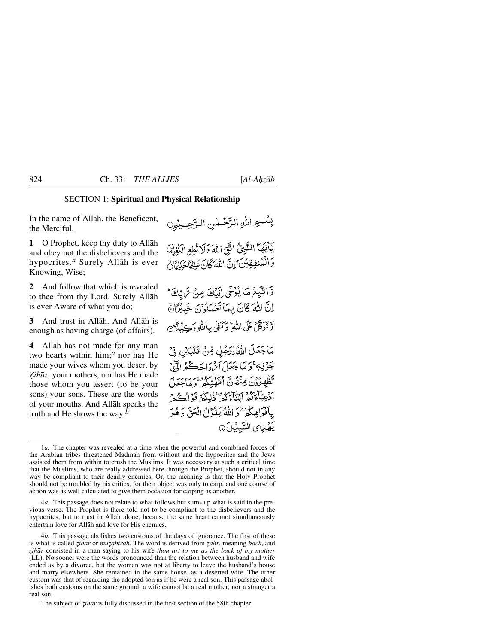### SECTION 1: **Spiritual and Physical Relationship**

In the name of Allåh, the Beneficent, the Merciful.

**1** O Prophet, keep thy duty to Allåh and obey not the disbelievers and the hypocrites.*<sup>a</sup>* Surely Allåh is ever Knowing, Wise;

**2** And follow that which is revealed to thee from thy Lord. Surely Allåh is ever Aware of what you do;

**3** And trust in Allåh. And Allåh is enough as having charge (of affairs).

**4** Allåh has not made for any man two hearts within him;*<sup>a</sup>* nor has He made your wives whom you desert by Zihār, your mothers, nor has He made those whom you assert (to be your sons) your sons. These are the words of your mouths. And Allåh speaks the truth and He shows the way.*<sup>b</sup>*

بِسُجِ اللهِ الرَّحُمْنِ الرَّحِيْمِِ يَأَيَّهُاَ النَّبِيُّ الَّتِّي اللَّهَ وَلَا تُطِعِ الْكَفِرِيُّ وَالْمُنْفِقِينَ إِنَّ اللَّهَ كَانَ عَلِيْمَا حَكِيْمًا وَّاتَّبِعُ مَا يُرْحَى إِلَيْكَ مِنْ تَرتِكَ \* اِنَّ اللَّهَ كَانَ بِمَا تَعْمَلُوْنَ خَبِيْرًاهُ وَّتَوَكَّلْ عَلَى اللَّهِ ۚ وَكَفَى بِاللَّهِ وَكِيَبِلَآنَ مَاجَعَلَ اللَّهُ لِرَجُلٍ مِّنْ تَلْبَيْنِ فِي جَوْفِهُ تَوَمَا جَعَلَ أَيْرَوْاجَڪُمُّ الْآهِ جِ تُظْهِدُونَ مِنْهُنَّ أُمَّهْتِكُمْ وَمَاجَعَلَ آدْعِيَآءَكُمْ آيْنَآءَكُمْ لَمْلَكُمْ قَوْلُكُمْ أَ بِٱفْوَاهِكُمْ ۖ وَ اللَّهُ يَغْوُلُ الْعَقِّ وَهُوَ

يَهْدِى السَّبِيْلَ ۞

4*a.* This passage does not relate to what follows but sums up what is said in the previous verse. The Prophet is there told not to be compliant to the disbelievers and the hypocrites, but to trust in Allåh alone, because the same heart cannot simultaneously entertain love for Allåh and love for His enemies.

4*b.* This passage abolishes two customs of the days of ignorance. The first of these is what is called *zihār* or *muzāhirah*. The word is derived from *zahr*, meaning *back*, and *˚ihår* consisted in a man saying to his wife *thou art to me as the back of my mother* (LL). No sooner were the words pronounced than the relation between husband and wife ended as by a divorce, but the woman was not at liberty to leave the husband's house and marry elsewhere. She remained in the same house, as a deserted wife. The other custom was that of regarding the adopted son as if he were a real son. This passage abolishes both customs on the same ground; a wife cannot be a real mother, nor a stranger a real son.

The subject of *zihār* is fully discussed in the first section of the 58th chapter.

<sup>1</sup>*a.* The chapter was revealed at a time when the powerful and combined forces of the Arabian tribes threatened Madinah from without and the hypocrites and the Jews assisted them from within to crush the Muslims. It was necessary at such a critical time that the Muslims, who are really addressed here through the Prophet, should not in any way be compliant to their deadly enemies. Or, the meaning is that the Holy Prophet should not be troubled by his critics, for their object was only to carp, and one course of action was as well calculated to give them occasion for carping as another.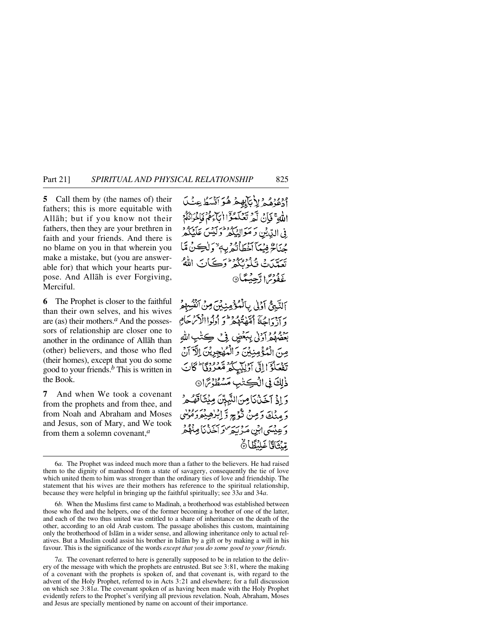**5** Call them by (the names of) their fathers; this is more equitable with Allåh; but if you know not their fathers, then they are your brethren in faith and your friends. And there is no blame on you in that wherein you make a mistake, but (you are answerable for) that which your hearts purpose. And Allåh is ever Forgiving, Merciful.

**6** The Prophet is closer to the faithful than their own selves, and his wives are (as) their mothers.*<sup>a</sup>* And the possessors of relationship are closer one to another in the ordinance of Allåh than (other) believers, and those who fled (their homes), except that you do some good to your friends.*<sup>b</sup>* This is written in the Book.

**7** And when We took a covenant from the prophets and from thee, and from Noah and Abraham and Moses and Jesus, son of Mary, and We took from them a solemn covenant,*<sup>a</sup>*

ودوده ولايآبهغ هؤاتسكا عِنْدَ اللهِ ۚ فَإِنَّ لَّهُ تَعْلَمُوۡٓا أَيَآءُ قَوْلَوۡنَ فَرَاحُونَ في الدِّيْنِ وَ مَوَا مِيَ كَيْرَا مِنْهَا آخَطَأَتُهُ بِهِ تعدّن فكدُنُّ و و سَيَانَ اللَّهُ <u>غَفُوسً</u>ا رَّجِيُّعًا۞

اَلتَّبِيُّ اَوْلَى بِالْمُؤْمِنِيْنِ مِنْ أَنْفُسِهِمْ ويق الجيئة القديم ودملس وكواالأثر بجام برو و د د اردن بېځض د <sup>م</sup>ې په مِنَ الْمُؤْمِنِينَ وَالْمُهْجِرِيْنَ الْآ تَفْعَلُوْٓ إِلَى آَوَلِيْكِكُمْ مَّعْرُوْقَا ۚ كَانَ ذٰلِكَ فِي الْكِتْنِبِ مَسْطُوْتِرَا۞ وَ إِذْ آخَذْنَا مِنَ النَّبِيِّنَ مِيْتَأَقَصُّهِ دَ مِنْكَ دَمِنْ تَّدُّجِ دَّ إِبْرٰهِ بِمَرْدَ وَ عِيْبَهَىٰ ابْنِي مَيْرِيَّةِ مِنْ تَجِدَّثَنَا مِ مِّنْتَاتًا غَلْنُظَّارُهُ

7*a.* The covenant referred to here is generally supposed to be in relation to the delivery of the message with which the prophets are entrusted. But see 3:81, where the making of a covenant with the prophets is spoken of, and that covenant is, with regard to the advent of the Holy Prophet, referred to in Acts 3:21 and elsewhere; for a full discussion on which see 3:81*a*. The covenant spoken of as having been made with the Holy Prophet evidently refers to the Prophet's verifying all previous revelation. Noah, Abraham, Moses and Jesus are specially mentioned by name on account of their importance.

<sup>6</sup>*a.* The Prophet was indeed much more than a father to the believers. He had raised them to the dignity of manhood from a state of savagery, consequently the tie of love which united them to him was stronger than the ordinary ties of love and friendship. The statement that his wives are their mothers has reference to the spiritual relationship, because they were helpful in bringing up the faithful spiritually; see 33*a* and 34*a*.

<sup>6</sup>*b*. When the Muslims first came to Madinah, a brotherhood was established between those who fled and the helpers, one of the former becoming a brother of one of the latter, and each of the two thus united was entitled to a share of inheritance on the death of the other, according to an old Arab custom. The passage abolishes this custom, maintaining only the brotherhood of Islåm in a wider sense, and allowing inheritance only to actual relatives. But a Muslim could assist his brother in Islåm by a gift or by making a will in his favour. This is the significance of the words *except that you do some good to your friends*.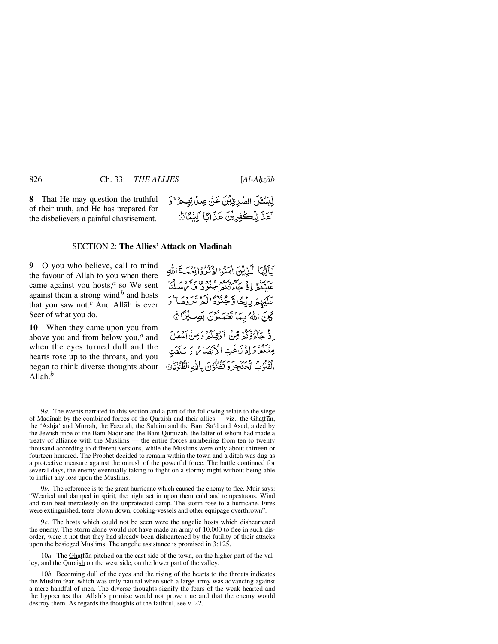**8** That He may question the truthful of their truth, and He has prepared for the disbelievers a painful chastisement.

### SECTION 2: **The Allies' Attack on Madinah**

**9** O you who believe, call to mind the favour of Allåh to you when there came against you hosts,*<sup>a</sup>* so We sent against them a strong wind<sup> $b$ </sup> and hosts that you saw not.*<sup>c</sup>* And Allåh is ever Seer of what you do.

**10** When they came upon you from above you and from below you,*<sup>a</sup>* and when the eyes turned dull and the hearts rose up to the throats, and you began to think diverse thoughts about Allåh.*<sup>b</sup>*

نَأَنَّهَا الَّذِينَ إِمَنُوا إِذْكُرُوْانِغَيَّةَ اللَّهِ بِرَيْهُمْ إِذْ جَابِرُهُ وَ وَوَوْ وَيَ مَ وَسَلْنَا عَلَيْهِمْ رِيْحًا وَّجْنُوْدًا لَّهُ تَرْرُهَـا ۚ رَ كَانَ اللهُ بِمَا تَعْمَلُوْنَ بِصِبْدًا ﴾ اذْ حَآوُدْكُمْ مِّنْ فَوُقِيكُمْ دَمِنْ آمِنْهُ) مِنْكُمْ دَاِذْ زَاغَتِ الْأَبْضَائِ دَيْلَفَتِ الْقُلُوْبُ الْحَيَاجِرَ وَيَظُنُّونَ بِاللَّهِ الظُّنُونَا@

9*b.* The reference is to the great hurricane which caused the enemy to flee. Muir says: "Wearied and damped in spirit, the night set in upon them cold and tempestuous. Wind and rain beat mercilessly on the unprotected camp. The storm rose to a hurricane. Fires were extinguished, tents blown down, cooking-vessels and other equipage overthrown".

9*c.* The hosts which could not be seen were the angelic hosts which disheartened the enemy. The storm alone would not have made an army of 10,000 to flee in such disorder, were it not that they had already been disheartened by the futility of their attacks upon the besieged Muslims. The angelic assistance is promised in 3:125.

10*a*. The Ghatfan pitched on the east side of the town, on the higher part of the valley, and the Quraish on the west side, on the lower part of the valley.

10*b.* Becoming dull of the eyes and the rising of the hearts to the throats indicates the Muslim fear, which was only natural when such a large army was advancing against a mere handful of men. The diverse thoughts signify the fears of the weak-hearted and the hypocrites that Allåh's promise would not prove true and that the enemy would destroy them. As regards the thoughts of the faithful, see v. 22.

لِّيَسْتَلَ الصَّدِيقِيِّنَ عَنْ صِدْرِقِهِ هُرْ ۚ وَ آعَدَّ لِلْكَفِرِيْنَ عَذَابًا ٱلِيُّمَّاَّ هُ

<sup>9</sup>*a.* The events narrated in this section and a part of the following relate to the siege of Madinah by the combined forces of the Quraish and their allies — viz., the Ghatfān, the 'Ashja' and Murrah, the Fazarah, the Sulaim and the Bani Sa'd and Asad, aided by the Jewish tribe of the Bani Nadir and the Bani Quraizah, the latter of whom had made a treaty of alliance with the Muslims — the entire forces numbering from ten to twenty thousand according to different versions, while the Muslims were only about thirteen or fourteen hundred. The Prophet decided to remain within the town and a ditch was dug as a protective measure against the onrush of the powerful force. The battle continued for several days, the enemy eventually taking to flight on a stormy night without being able to inflict any loss upon the Muslims.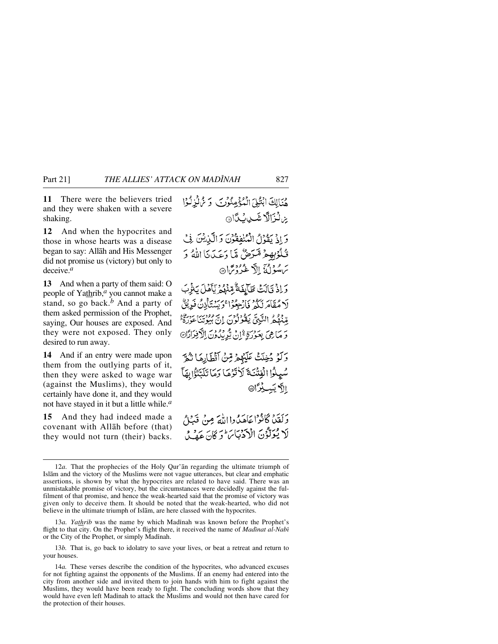**11** There were the believers tried and they were shaken with a severe shaking.

**12** And when the hypocrites and those in whose hearts was a disease began to say: Allåh and His Messenger did not promise us (victory) but only to deceive.*<sup>a</sup>*

**13** And when a party of them said: O people of Yathrib,*<sup>a</sup>* you cannot make a stand, so go back.*<sup>b</sup>* And a party of them asked permission of the Prophet, saying, Our houses are exposed. And they were not exposed. They only desired to run away.

**14** And if an entry were made upon them from the outlying parts of it, then they were asked to wage war (against the Muslims), they would certainly have done it, and they would not have stayed in it but a little while.*<sup>a</sup>*

**15** And they had indeed made a covenant with Allåh before (that) they would not turn (their) backs.

هُنَالِكَ ابْتُلِيَ الْمُؤْمِنُونَ وَيُرْكُونِ ِين**ِ لَزَالَّا** شَيْبِ لِيَكَا وَإِذْ يَقُوْلُ الْمُنْفِقُوْنَ وَالَّيْنِيْنَ فِي قُلْوُبِهِمْ مَّرَضٌ مَّا دَعَدَنَا اللَّهُ وَ سَ مَسْوَلُغَ إِلَّا غُذُوْسًا۞ رَادْ قَالَتْ طَآبِفَةٌ مِّنْهُمُ يَأْمَلَ بَثْرِبَ لَا مُقَامَرَنَّكُمْ فَارْجِعُوْا ۚ دَبَيْنِتَأْذِنَّ فَدِيْقٌ مِّنْهُمُّ النَّبِيَّ يَقُولُونَ إِنَّ بَيُوتِنَا عَزِرَةٌ: وَ مَا هِيَ بِعَوْرَةٍ ثَمَّلْنُ يُّدِيْدُونَ الْأَفِرَادَّا@ وَلَوْ دُخِلَتْ عَلَيْهِمْ قِنْ أَقْطَارِهَا تُمَرَّ سُيِلُوا الْفِتْنَةَ لَأْتَوُهَا وَمَا تَلَبَّتْوُا بِهَآ الاَّ يَسِيْرًا۞

وَلَقَيْنَا كَانْوْاعَاهَدُهِ!!للَّهَ مِنْ قَبْبًا ْ لَا يُوَلَّوُنَ الْأَدْبَابَ ۖ وَ كَانَ عَصْدُ

13*a. Yathrib* was the name by which Madinah was known before the Prophet's flight to that city. On the Prophet's flight there, it received the name of *Madinat al-Nabi* or the City of the Prophet, or simply Madinah.

13*b.* That is, go back to idolatry to save your lives, or beat a retreat and return to your houses.

14*a.* These verses describe the condition of the hypocrites, who advanced excuses for not fighting against the opponents of the Muslims. If an enemy had entered into the city from another side and invited them to join hands with him to fight against the Muslims, they would have been ready to fight. The concluding words show that they would have even left Madinah to attack the Muslims and would not then have cared for the protection of their houses.

<sup>12</sup>*a.* That the prophecies of the Holy Qur'ån regarding the ultimate triumph of Islåm and the victory of the Muslims were not vague utterances, but clear and emphatic assertions, is shown by what the hypocrites are related to have said. There was an unmistakable promise of victory, but the circumstances were decidedly against the fulfilment of that promise, and hence the weak-hearted said that the promise of victory was given only to deceive them. It should be noted that the weak-hearted, who did not believe in the ultimate triumph of Islåm, are here classed with the hypocrites.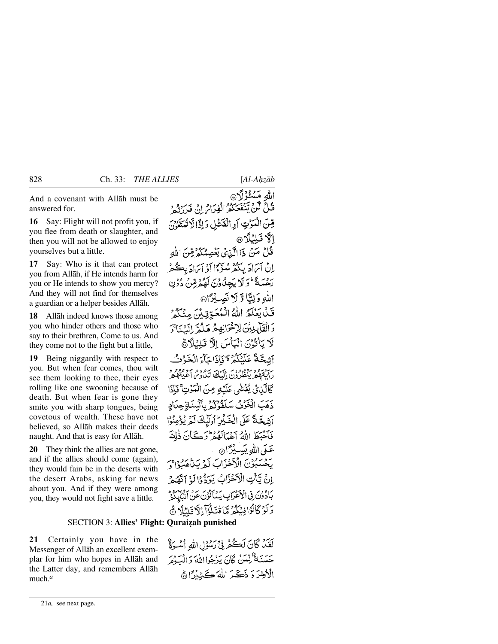And a covenant with Allåh must be answered for.

**16** Say: Flight will not profit you, if you flee from death or slaughter, and then you will not be allowed to enjoy yourselves but a little.

**17** Say: Who is it that can protect you from Allåh, if He intends harm for you or He intends to show you mercy? And they will not find for themselves a guardian or a helper besides Allåh.

**18** Allåh indeed knows those among you who hinder others and those who say to their brethren, Come to us. And they come not to the fight but a little,

**19** Being niggardly with respect to you. But when fear comes, thou wilt see them looking to thee, their eyes rolling like one swooning because of death. But when fear is gone they smite you with sharp tongues, being covetous of wealth. These have not believed, so Allåh makes their deeds naught. And that is easy for Allåh.

**20** They think the allies are not gone, and if the allies should come (again), they would fain be in the deserts with the desert Arabs, asking for news about you. And if they were among you, they would not fight save a little.

## **SECTION 3: Allies' Flight: Quraizah punished**

**21** Certainly you have in the Messenger of Allåh an excellent exemplar for him who hopes in Allåh and the Latter day, and remembers Allåh much.*<sup>a</sup>*

الله مَسْئُوۡ(َآ۞ فَكِنَّ لَكِنَّ يَبْنَعَكُمُ الْفِرَامُ إِنْ فَرِرَتُهِ دِ قِينَ الْمَوْتِ أَوِ الْقَشْلِ وَإِذَا لَّا تُمَتَّعُونَ الاقبلنلا قُلْ مَنْ ذَا الَّذِي يَنْصِمُكُمْ قِنَ اللَّهِ إِنْ أَيَرَادَ بِبَكْتُرْ مُتَوَّءًا أَوْ أَيَرَادَ بِڪُثْرُ رَحْمَةً فَوَلَا يَجِدُّدُونَ لَهُمْ قِينٌ دُوۡنِ اللهِ وَلِتًا وَّ لَا نَصِبُرًا۞ قَيْلَ بَعَلَّكُمُ اللَّٰهُ الْمُعَتَّوِيْدُ مِنْكُمْ دَ الْقَالِمِلِيْنَ لِإِخْوَانِهِمْ هَلُمَّ إِلَيْنَا ۚ وَ لَا يَأْتُوْنَ الْبَأْسَ اِلَّا قَلِيْلًانَّ أَشْعَةً عَلَيْنَكُمْ مِنْ ذَاجَآءَ الْخَزْفُ بر بروسود برود ودي الملڪ سود و مرد وور د<br>د ابتها پيظرون الملڪ تياوي اعبيبهم كَالَّذِي يُغُشْى عَلَيْهِ مِنَ الْمَوْتِ ۚ فَإِذَا ذَهَبَ الْخَرْنُ سَلَقْوُكُمُ بِأَلْسُنَةٍ حِدَادٍ آشكَةً عَلَى الْحَكِيرُ أُولَيكَ لَمْ يُؤْمِنُوْا فَأَخْبَطَ اللَّهُ أَعْمَالَهُ هُ وَ كَانَ ذٰلِكَ عَلَىٰ اللَّهِ يَبَسِيْرًا۞ يَحْسَبُوْنَ الْأَخْزَابَ لَمْرِيَنْهُمْبُوْا وَ إِنْ تِأْتِ الْأَحْزَابُ يَوَدُّوْا لَهُ ٱتَّصُّعْهُ بَادُوْنَ فِي الْأَعْوَابِ يَسْأَلُوْنَ عَنْ أَنْتَابِكُمْ دَكَّرْ كَانْزَا فِيَكْثُرُ مَّا قْتَلُوْآ بِالَّا قَلْيُلَا ۚ هَ

لَقَدْ كَانَ لَكُمْ فِي رَسُوْلِ اللَّهِ أَسْوَةٌ حسنَةٌ لِّهْنَ كَانَ يَدْجُوااللَّهُ وَالْسَوْمَ الْأَخِيرَ دَ ذَكَيرَ اللَّهَ كَثِيدًا أَهْ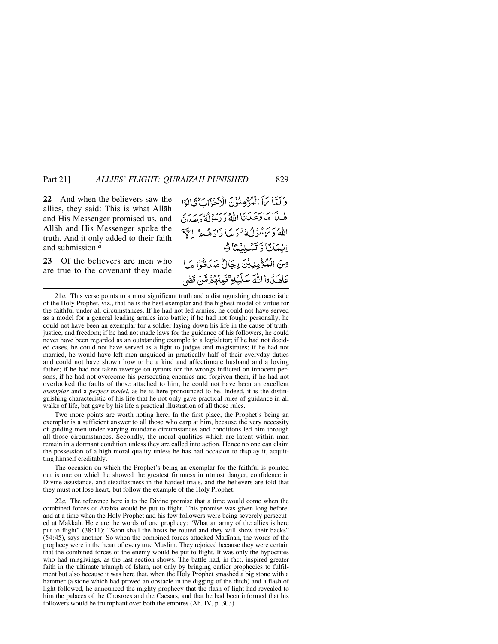**22** And when the believers saw the allies, they said: This is what Allåh and His Messenger promised us, and Allåh and His Messenger spoke the truth. And it only added to their faith and submission.*<sup>a</sup>*

**23** Of the believers are men who are true to the covenant they made وَكَتَبَا بَرَأَ الْمُؤْمِنُوْنَ الْأَحْدَىٰ ۖ فَالْوَا هٰ بِذَا مَا دَعَيْدَنَا اللَّهُ وَرَسُولُهُ وَحِدَبَ اللهُ وَيَ مُبْدَلُهُ ٰ دَمَيَا ذَادَهُ جِرْ إِسَّ ٳؽؠؘڮٲٷؾؽڸؽۣڲٲۿ مِنَ الْمُؤْمِنِيِّنَ رِجَالٌ صَدَقَوْا مَا عَاهَدُوااللَّهَ عَلَيْكِ ۚ فَعِنْهُمْ مِّنْ قَضَى

21*a.* This verse points to a most significant truth and a distinguishing characteristic of the Holy Prophet, viz., that he is the best exemplar and the highest model of virtue for the faithful under all circumstances. If he had not led armies, he could not have served as a model for a general leading armies into battle; if he had not fought personally, he could not have been an exemplar for a soldier laying down his life in the cause of truth, justice, and freedom; if he had not made laws for the guidance of his followers, he could never have been regarded as an outstanding example to a legislator; if he had not decided cases, he could not have served as a light to judges and magistrates; if he had not married, he would have left men unguided in practically half of their everyday duties and could not have shown how to be a kind and affectionate husband and a loving father; if he had not taken revenge on tyrants for the wrongs inflicted on innocent persons, if he had not overcome his persecuting enemies and forgiven them, if he had not overlooked the faults of those attached to him, he could not have been an excellent *exemplar* and a *perfect model*, as he is here pronounced to be. Indeed, it is the distinguishing characteristic of his life that he not only gave practical rules of guidance in all walks of life, but gave by his life a practical illustration of all those rules.

Two more points are worth noting here. In the first place, the Prophet's being an exemplar is a sufficient answer to all those who carp at him, because the very necessity of guiding men under varying mundane circumstances and conditions led him through all those circumstances. Secondly, the moral qualities which are latent within man remain in a dormant condition unless they are called into action. Hence no one can claim the possession of a high moral quality unless he has had occasion to display it, acquitting himself creditably.

The occasion on which the Prophet's being an exemplar for the faithful is pointed out is one on which he showed the greatest firmness in utmost danger, confidence in Divine assistance, and steadfastness in the hardest trials, and the believers are told that they must not lose heart, but follow the example of the Holy Prophet.

22*a.* The reference here is to the Divine promise that a time would come when the combined forces of Arabia would be put to flight. This promise was given long before, and at a time when the Holy Prophet and his few followers were being severely persecuted at Makkah. Here are the words of one prophecy: "What an army of the allies is here put to flight" (38:11); "Soon shall the hosts be routed and they will show their backs"  $(54:45)$ , says another. So when the combined forces attacked Madinah, the words of the prophecy were in the heart of every true Muslim. They rejoiced because they were certain that the combined forces of the enemy would be put to flight. It was only the hypocrites who had misgivings, as the last section shows. The battle had, in fact, inspired greater faith in the ultimate triumph of Islām, not only by bringing earlier prophecies to fulfilment but also because it was here that, when the Holy Prophet smashed a big stone with a hammer (a stone which had proved an obstacle in the digging of the ditch) and a flash of light followed, he announced the mighty prophecy that the flash of light had revealed to him the palaces of the Chosroes and the Caesars, and that he had been informed that his followers would be triumphant over both the empires (Ah. IV, p. 303).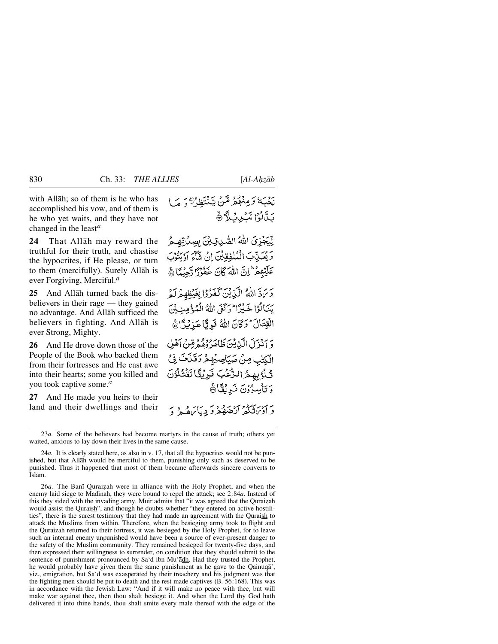with Allåh; so of them is he who has accomplished his vow, and of them is he who yet waits, and they have not changed in the least*<sup>a</sup>* —

**24** That Allåh may reward the truthful for their truth, and chastise the hypocrites, if He please, or turn to them (mercifully). Surely Allåh is ever Forgiving, Merciful.*<sup>a</sup>*

**25** And Allåh turned back the disbelievers in their rage — they gained no advantage. And Allåh sufficed the believers in fighting. And Allåh is ever Strong, Mighty.

**26** And He drove down those of the People of the Book who backed them from their fortresses and He cast awe into their hearts; some you killed and you took captive some.*<sup>a</sup>*

**27** And He made you heirs to their land and their dwellings and their نَجْبَهُ وَمِنْهُمْ مَّنْ يَتَنْتَظَرْ تَهُ مَا **كَتَابُ اتَّكِينِكَ** هُ

لِّيَجْزِيَ اللَّهُ الصَّرِيِّيْنَ بِصِدْقِهِمْ رَيْعَيْبْبَ الْمُنْفِقِينَ إِنْ شَآءَ أَدْبِيْنِيَ عَلَيْهِمْ إِنَّ اللَّهَ كَانَ غَفُرُنَا رَّجِيْعًا ﴾

رَبِّ اللَّهُ الَّيْ بِنَ كَفَرُوْا بِعَيْظِهِمْ لَمْ يَنَالُوْا خَيْرًا لِمَرْكَفَى اللَّهُ الْمُؤْمِنِينَ الْقِتَالَ وَكَانَ اللَّهُ نَوِ ثَاعَذِنِّهِ؟ أَيْ

وَ آنَنْزَلَ الْبَدْيْنَ طَاهَدُوْهُمْ قِينَ أَهْلِ الْكِتْبِ مِنْ صَيَاصِيُهِمْ دَقَنَاتَ فِي تُلْوُبِهِمُ الرُّعْبَ نَرِيْقًا تَقْتُلُوْنَ وَتَأْسِرُوْنَ نَرِيْقًا ﴾ د بردید در در دود د بیابره د د

26*a*. The Bani Quraizah were in alliance with the Holy Prophet, and when the enemy laid siege to Madinah, they were bound to repel the attack; see 2:84*a*. Instead of this they sided with the invading army. Muir admits that "it was agreed that the Quraizah would assist the Quraish", and though he doubts whether "they entered on active hostilities", there is the surest testimony that they had made an agreement with the Quraish to attack the Muslims from within. Therefore, when the besieging army took to flight and the Quraizah returned to their fortress, it was besieged by the Holy Prophet, for to leave such an internal enemy unpunished would have been a source of ever-present danger to the safety of the Muslim community. They remained besieged for twenty-five days, and then expressed their willingness to surrender, on condition that they should submit to the sentence of punishment pronounced by Sa'd ibn Mu'ådh. Had they trusted the Prophet, he would probably have given them the same punishment as he gave to the Qainuqå', viz., emigration, but Sa'd was exasperated by their treachery and his judgment was that the fighting men should be put to death and the rest made captives (B. 56:168). This was in accordance with the Jewish Law: "And if it will make no peace with thee, but will make war against thee, then thou shalt besiege it. And when the Lord thy God hath delivered it into thine hands, thou shalt smite every male thereof with the edge of the

<sup>23</sup>*a.* Some of the believers had become martyrs in the cause of truth; others yet waited, anxious to lay down their lives in the same cause.

<sup>24</sup>*a.* It is clearly stated here, as also in v. 17, that all the hypocrites would not be punished, but that Allåh would be merciful to them, punishing only such as deserved to be punished. Thus it happened that most of them became afterwards sincere converts to Islåm.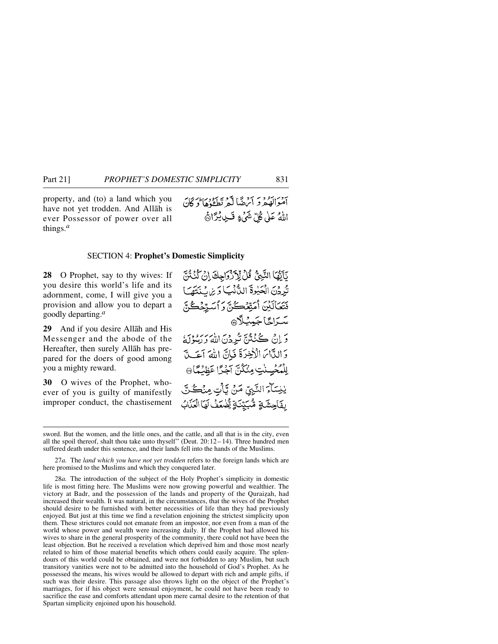property, and (to) a land which you have not yet trodden. And Allåh is ever Possessor of power over all things.*<sup>a</sup>*

ہ دراز دیتھ کے شاہد سکی دیا ہے۔<br>اموالوگرد کے متعلقات کا کان اللَّهُ عَلَى كُلِّ شَيْءٍ قَـبِي لَيْرًاهُج

### SECTION 4: **Prophet's Domestic Simplicity**

**28** O Prophet, say to thy wives: If you desire this world's life and its adornment, come, I will give you a provision and allow you to depart a goodly departing.*<sup>a</sup>*

**29** And if you desire Allåh and His Messenger and the abode of the Hereafter, then surely Allåh has prepared for the doers of good among you a mighty reward.

**30** O wives of the Prophet, whoever of you is guilty of manifestly improper conduct, the chastisement

يَأَيُّهَا النَّبِيُّ قُلْ لِلْأَرْوَاجِكَ إِنْ كُنْتُنَّ تُدِدْنَ الْحَيْوةَ الثَّانْبَ) وَبِرَاسُنَتَهَمَا فَتَعَالَيْنَ أَمَتِّعُكُنَّ وَأَسَرِّهُكُنَّ سَرَاجًا جَمِيلًا دَ إِنْ كُنْتُنَّ تُرِدُنِ اللَّهُ رِرِسُوْلُهُ وَ اللَّهَامَ الْأَخِرَةَ فَإِنَّ اللَّهَ آحَبِ لِلْمُحْسِنْتِ مِنْكُنَّ آجُرًا عَظِيْمًا 9 يْنِسَآءَ النَّبِيِّ مَنْ يَّأْتِ مِنْكُنَّ بِفَاحِشَةٍ مُّبَيِّنَةٍ يُّضْعَفُ لَهَا الْعَذَابُ

sword. But the women, and the little ones, and the cattle, and all that is in the city, even all the spoil thereof, shalt thou take unto thyself" (Deut.  $20:12-14$ ). Three hundred men suffered death under this sentence, and their lands fell into the hands of the Muslims.

27*a.* The *land which you have not yet trodden* refers to the foreign lands which are here promised to the Muslims and which they conquered later.

28*a.* The introduction of the subject of the Holy Prophet's simplicity in domestic life is most fitting here. The Muslims were now growing powerful and wealthier. The victory at Badr, and the possession of the lands and property of the Quraizah, had increased their wealth. It was natural, in the circumstances, that the wives of the Prophet should desire to be furnished with better necessities of life than they had previously enjoyed. But just at this time we find a revelation enjoining the strictest simplicity upon them. These strictures could not emanate from an impostor, nor even from a man of the world whose power and wealth were increasing daily. If the Prophet had allowed his wives to share in the general prosperity of the community, there could not have been the least objection. But he received a revelation which deprived him and those most nearly related to him of those material benefits which others could easily acquire. The splendours of this world could be obtained, and were not forbidden to any Muslim, but such transitory vanities were not to be admitted into the household of God's Prophet. As he possessed the means, his wives would be allowed to depart with rich and ample gifts, if such was their desire. This passage also throws light on the object of the Prophet's marriages, for if his object were sensual enjoyment, he could not have been ready to sacrifice the ease and comforts attendant upon mere carnal desire to the retention of that Spartan simplicity enjoined upon his household.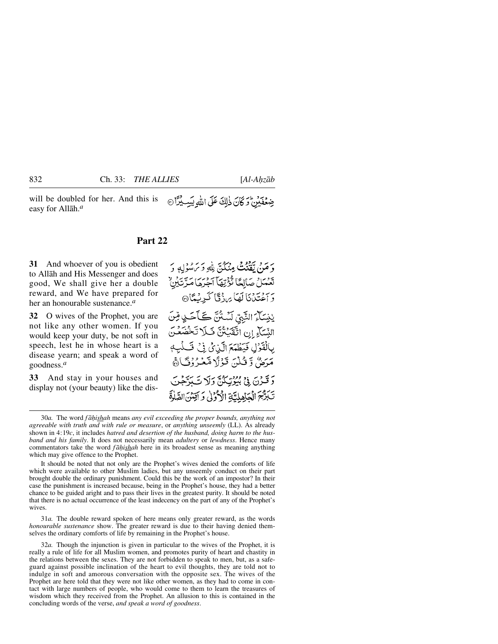will be doubled for her. And this is ضِعْفَيْنِ وَكَانَ ذٰلِكَ عَلَى اللهِ بَيِبِ بِيِّنَا easy for Allåh.*<sup>a</sup>*

### **Part 22**

**31** And whoever of you is obedient to Allåh and His Messenger and does good, We shall give her a double reward, and We have prepared for her an honourable sustenance.*<sup>a</sup>*

**32** O wives of the Prophet, you are not like any other women. If you would keep your duty, be not soft in speech, lest he in whose heart is a disease yearn; and speak a word of goodness.*<sup>a</sup>*

**33** And stay in your houses and display not (your beauty) like the dis-

دِ صَنْ يَكَفَّنْتُ مِنْكُنّ بِلْهِ وَيَرَسُوْلِهِ وَ تَعْمَلُ صَالِحًا تُؤْتِهَا آجَرِهَا مَرَّتَيْنِ بِرِ وَسَنَ لَهَا بِرِدْ قَا كَبِرِيْسَانَ إِ يْنِسَآءَ النَّبِيِّ لَسْتُنَّ كَأَحَـٰ ٍقِنَ النِّسَاءِ إِن اتَّقَيَاتُنَّ فَلَا تَخْضَعُنَ بِالْقَرْلِ فَيَظْمَعَ الَّذِيْ فِيْ تَسَلَّيِهِ مَرَضٌ وَ قُلْنَ قَوْلًا مَّعْبُرُوْقَ} ﴾

دَ قَبْرُنَ فِي بُيُوتِيْكُنَّ وَلَا تَ بَدَّجْنَ تَبَرُّجَ الْجَاهِلِيَّةِ الْأَرْوٰلِ وَ اَقِنْنَ الصَّلْوَةَ

It should be noted that not only are the Prophet's wives denied the comforts of life which were available to other Muslim ladies, but any unseemly conduct on their part brought double the ordinary punishment. Could this be the work of an impostor? In their case the punishment is increased because, being in the Prophet's house, they had a better chance to be guided aright and to pass their lives in the greatest purity. It should be noted that there is no actual occurrence of the least indecency on the part of any of the Prophet's wives.

31*a.* The double reward spoken of here means only greater reward, as the words *honourable sustenance* show. The greater reward is due to their having denied themselves the ordinary comforts of life by remaining in the Prophet's house.

32*a.* Though the injunction is given in particular to the wives of the Prophet, it is really a rule of life for all Muslim women, and promotes purity of heart and chastity in the relations between the sexes. They are not forbidden to speak to men, but, as a safeguard against possible inclination of the heart to evil thoughts, they are told not to indulge in soft and amorous conversation with the opposite sex. The wives of the Prophet are here told that they were not like other women, as they had to come in contact with large numbers of people, who would come to them to learn the treasures of wisdom which they received from the Prophet. An allusion to this is contained in the concluding words of the verse, *and speak a word of goodness*.

<sup>30</sup>*a.* The word *f å√ishah* means *any evil exceeding the proper bounds, anything not agreeable with truth and with rule or measure*, or *anything unseemly* (LL). As already shown in 4:19*c*, it includes *hatred and desertion of the husband, doing harm to the husband and his family*. It does not necessarily mean *adultery* or *lewdness*. Hence many commentators take the word *f å√ishah* here in its broadest sense as meaning anything which may give offence to the Prophet.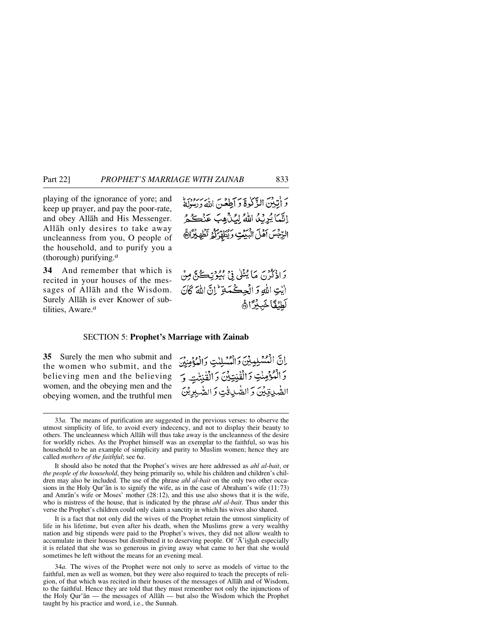playing of the ignorance of yore; and keep up prayer, and pay the poor-rate, and obey Allåh and His Messenger. Allåh only desires to take away uncleanness from you, O people of the household, and to purify you a (thorough) purifying.*<sup>a</sup>*

**34** And remember that which is recited in your houses of the messages of Allåh and the Wisdom. Surely Allåh is ever Knower of subtilities, Aware.*<sup>a</sup>*

دَ إِنَّبِينَ الذَّكَّدِةَ دَ أَطِعْنَ اللَّهَ دِيسُوْيَةً اِنَّمَا يُرِيُّلُ اللَّهُ لِيُنْهِبَ عَنْكُمُ الرِّجْسَ آهُلَ الْبَيْعَتِ وَيُطَهِّرُكُمُ تَظْهِيْرَانَّ

دَ اذكرْنَ مَا يُتْلَىٰ فِي بِيُوتِڪُنَّ مِنْ ايْتِ اللَّهِ وَ الْجِكْمَةِ إِنَّ اللَّهَ كَانَ لَطْنُفَا خَبِدْرًاهُمْ

### SECTION 5: **Prophet's Marriage with Zainab**

**35** Surely the men who submit and the women who submit, and the believing men and the believing women, and the obeying men and the obeying women, and the truthful men

إنَّ الْمُسْلِيِينِ وَالْمُسْلِيِّ وَالْمُؤْمِنِينَ وَالْمُؤْمِنْتِ وَالْقُنِتِيْنَ وَالْقُنِتْتِ وَ الصّْدِينَ وَالصّْدِينَ وَالصّْدِينَ

It should also be noted that the Prophet's wives are here addressed as *ahl al-bait*, or *the people of the household*, they being primarily so, while his children and children's children may also be included. The use of the phrase *ahl al-bait* on the only two other occasions in the Holy Qur'ån is to signify the wife, as in the case of Abraham's wife (11:73) and Amrån's wife or Moses' mother (28:12), and this use also shows that it is the wife, who is mistress of the house, that is indicated by the phrase *ahl al-bait*. Thus under this verse the Prophet's children could only claim a sanctity in which his wives also shared.

It is a fact that not only did the wives of the Prophet retain the utmost simplicity of life in his lifetime, but even after his death, when the Muslims grew a very wealthy nation and big stipends were paid to the Prophet's wives, they did not allow wealth to accumulate in their houses but distributed it to deserving people. Of 'Å'ishah especially it is related that she was so generous in giving away what came to her that she would sometimes be left without the means for an evening meal.

34*a.* The wives of the Prophet were not only to serve as models of virtue to the faithful, men as well as women, but they were also required to teach the precepts of religion, of that which was recited in their houses of the messages of Allåh and of Wisdom, to the faithful. Hence they are told that they must remember not only the injunctions of the Holy Qur'ån — the messages of Allåh — but also the Wisdom which the Prophet taught by his practice and word, i.e., the Sunnah.

<sup>33</sup>*a.* The means of purification are suggested in the previous verses: to observe the utmost simplicity of life, to avoid every indecency, and not to display their beauty to others. The uncleanness which Allåh will thus take away is the uncleanness of the desire for worldly riches. As the Prophet himself was an exemplar to the faithful, so was his household to be an example of simplicity and purity to Muslim women; hence they are called *mothers of the faithful*; see 6*a*.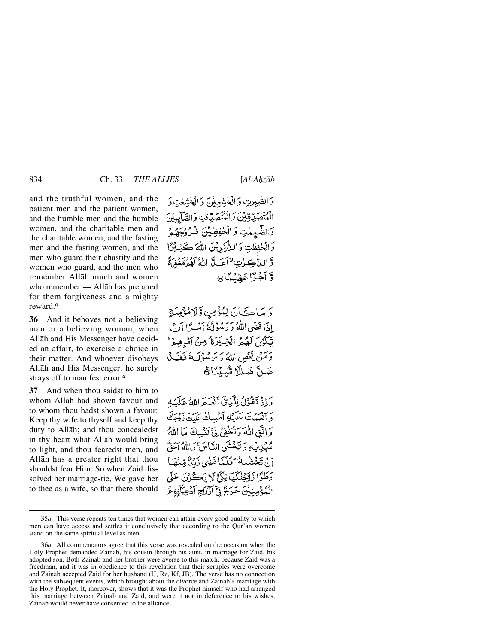and the truthful women, and the patient men and the patient women, and the humble men and the humble women, and the charitable men and the charitable women, and the fasting men and the fasting women, and the men who guard their chastity and the women who guard, and the men who remember Allåh much and women who remember — Allåh has prepared for them forgiveness and a mighty reward.*<sup>a</sup>*

**36** And it behoves not a believing man or a believing woman, when Allåh and His Messenger have decided an affair, to exercise a choice in their matter. And whoever disobeys Allåh and His Messenger, he surely strays off to manifest error.*<sup>a</sup>*

**37** And when thou saidst to him to whom Allåh had shown favour and to whom thou hadst shown a favour: Keep thy wife to thyself and keep thy duty to Allåh; and thou concealedst in thy heart what Allåh would bring to light, and thou fearedst men, and Allåh has a greater right that thou shouldst fear Him. So when Zaid dissolved her marriage-tie, We gave her to thee as a wife, so that there should

وَ الصّْبِرٰتِ وَ الْخَشْعِدْيَ وَ الْخَشْعَتِ وَ الْمُتَصَدِّيْ فِيْنَ دَ الْمُتَصَدِّدَتِ وَ الصَّابِيدُ بِ وَالصَّيْمَٰتِ وَالۡكَٰفِظِيۡنَ فُـُرُوۡمِ وَالْخَفِظْتِ وَالنَّاكِرِيْنَ اللَّهَ كَثِ قَرَالِيُّاكِيِّاتِ لِأَاعَبِيَّا اللَّهُ لَهُمُقَعَّفُهِ وَّ أَجْبَرًا عَظِيَٰكَا۞

رَ مَاڪَانَ لِمُؤْمِنٍ وَلَامُؤْمِنَةٍ إِذَا قَفَهِي اللَّهُ وَرَسُوْلُهُ آمُسِرًا آبُ يِّكُوُنَ لَهُمُ الْخِيدَةُ مِنْ آمُرِهِمْ ۖ دَمَنْ يَعْصِ اللَّهَ رَسَ سُوۡكَ ۚ فَقَـٰدۡ ضَلَّ ضَلِّلاً مُّبِيِّنَاهُ

وَإِذْ نَقْوُلُ لِلَّذِيِّ أَنْهُبَهِ اللَّهُ عَلَيْهِ م يُبْسَمْتَ عَلَيْكِ أَمْسِكْ عَلَيْكَ زَدْحَكَ وَاتَّقِ اللَّهَ دَنْخُفِيْ فِي نَفْسِكَ مَا اللَّهُ مُبِكِدِينَ وَتَخْتُنِي النَّاسَ دَاللَّهُ آَحَقُ نَ تَجْشَيْبِهُ تَكَيَّبًا قَضَى دَيْدٌ مِّنْهَمَا وَطَرًا زَوْجُنُكُمَا لِكَيْ لَا يَكُوْنَ عَلَى الْمُؤْمِنِينَ حَرَجٌ فِيَّ آزْدَاجِ آدْعِيَاتِهِمْ

<sup>35</sup>*a.* This verse repeats ten times that women can attain every good quality to which men can have access and settles it conclusively that according to the Qur'ån women stand on the same spiritual level as men.

<sup>36</sup>*a.* All commentators agree that this verse was revealed on the occasion when the Holy Prophet demanded Zainab, his cousin through his aunt, in marriage for Zaid, his adopted son. Both Zainab and her brother were averse to this match, because Zaid was a freedman, and it was in obedience to this revelation that their scruples were overcome and Zainab accepted Zaid for her husband (IJ, Rz, Kf, JB). The verse has no connection with the subsequent events, which brought about the divorce and Zainab's marriage with the Holy Prophet. It, moreover, shows that it was the Prophet himself who had arranged this marriage between Zainab and Zaid, and were it not in deference to his wishes, Zainab would never have consented to the alliance.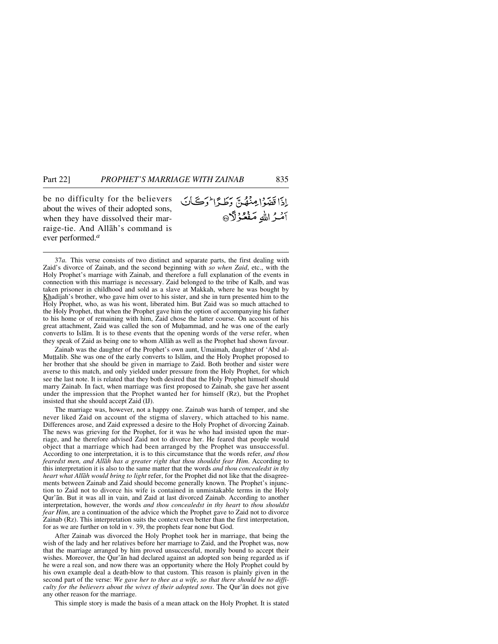be no difficulty for the believers about the wives of their adopted sons, when they have dissolved their marraige-tie. And Allåh's command is ever performed.*<sup>a</sup>*

إذاقفوا مِنْهُنّ دَطَدًا وَكَانَ آمئراللهِ مَفْعُوْلَا ۞

37*a.* This verse consists of two distinct and separate parts, the first dealing with Zaid's divorce of Zainab, and the second beginning with *so when Zaid*, etc., with the Holy Prophet's marriage with Zainab, and therefore a full explanation of the events in connection with this marriage is necessary. Zaid belonged to the tribe of Kalb, and was taken prisoner in childhood and sold as a slave at Makkah, where he was bought by Khadijah's brother, who gave him over to his sister, and she in turn presented him to the Holy Prophet, who, as was his wont, liberated him. But Zaid was so much attached to the Holy Prophet, that when the Prophet gave him the option of accompanying his father to his home or of remaining with him, Zaid chose the latter course. On account of his great attachment, Zaid was called the son of Muhammad, and he was one of the early converts to Islåm. It is to these events that the opening words of the verse refer, when they speak of Zaid as being one to whom Allåh as well as the Prophet had shown favour.

Zainab was the daughter of the Prophet's own aunt, Umaimah, daughter of 'Abd al-Muttalib. She was one of the early converts to Islam, and the Holy Prophet proposed to her brother that she should be given in marriage to Zaid. Both brother and sister were averse to this match, and only yielded under pressure from the Holy Prophet, for which see the last note. It is related that they both desired that the Holy Prophet himself should marry Zainab. In fact, when marriage was first proposed to Zainab, she gave her assent under the impression that the Prophet wanted her for himself (Rz), but the Prophet insisted that she should accept Zaid (IJ).

The marriage was, however, not a happy one. Zainab was harsh of temper, and she never liked Zaid on account of the stigma of slavery, which attached to his name. Differences arose, and Zaid expressed a desire to the Holy Prophet of divorcing Zainab. The news was grieving for the Prophet, for it was he who had insisted upon the marriage, and he therefore advised Zaid not to divorce her. He feared that people would object that a marriage which had been arranged by the Prophet was unsuccessful. According to one interpretation, it is to this circumstance that the words refer, *and thou fearedst men, and Allåh has a greater right that thou shouldst fear Him*. According to this interpretation it is also to the same matter that the words *and thou concealedst in thy heart what Allåh would bring to light* refer, for the Prophet did not like that the disagreements between Zainab and Zaid should become generally known. The Prophet's injunction to Zaid not to divorce his wife is contained in unmistakable terms in the Holy Qur'ån. But it was all in vain, and Zaid at last divorced Zainab. According to another interpretation, however, the words *and thou concealedst in thy heart* to *thou shouldst fear Him*, are a continuation of the advice which the Prophet gave to Zaid not to divorce Zainab (Rz). This interpretation suits the context even better than the first interpretation, for as we are further on told in v. 39, the prophets fear none but God.

After Zainab was divorced the Holy Prophet took her in marriage, that being the wish of the lady and her relatives before her marriage to Zaid, and the Prophet was, now that the marriage arranged by him proved unsuccessful, morally bound to accept their wishes. Moreover, the Qur'ån had declared against an adopted son being regarded as if he were a real son, and now there was an opportunity where the Holy Prophet could by his own example deal a death-blow to that custom. This reason is plainly given in the second part of the verse: *We gave her to thee as a wife, so that there should be no difficulty for the believers about the wives of their adopted sons*. The Qur'ån does not give any other reason for the marriage.

This simple story is made the basis of a mean attack on the Holy Prophet. It is stated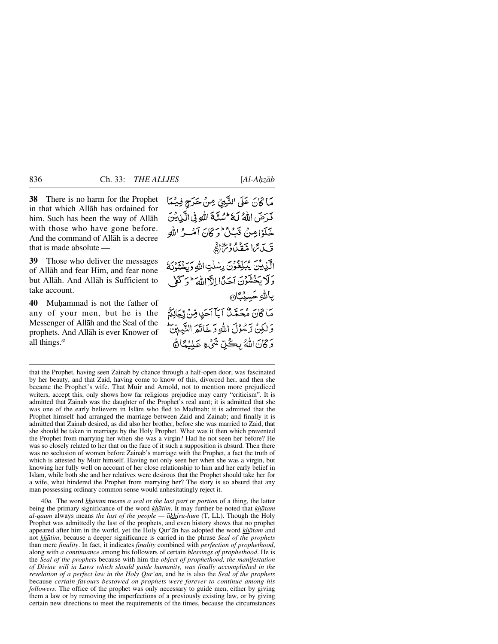**38** There is no harm for the Prophet in that which Allåh has ordained for him. Such has been the way of Allåh with those who have gone before. And the command of Allåh is a decree that is made absolute —

**39** Those who deliver the messages of Allåh and fear Him, and fear none but Allåh. And Allåh is Sufficient to take account.

**40** Muƒammad is not the father of any of your men, but he is the Messenger of Allåh and the Seal of the prophets. And Allåh is ever Knower of all things.*<sup>a</sup>*

مَاكَانَ عَلَى النَّبِيِّ مِنْ حَرَجٍ فِيْمَا فَدَضَ اللَّهُ لَهُ عَسْنَةَ اللَّهِ فِي الَّذِينَ خَلَوْامِنْ قَبَلُ وَكَانَ آمُكِّ اللهِ قَبِدَتَّمَا مَتَّقَدُّوْتُرَالُّهُمْ الآيدين يُبَكِّعُونَ رِسْلَتِ اللَّهِ وَبِخْشُوْنَهُ وَلَا يَخْشَوْنَ آجَدًا إِلاَّ اللهَ َ ۖ وَ كَعْلَ بالله حَسبْنَاهِ مَاكَانَ مُحَمَّدٌ ۚ اَبَأَ اَحَدٍ قِنْ رِّجَالِكُمُ وَ لَٰكِنۡ رَّسُوۡلَ اللَّهِ وَ خَانَتُمَ النَّبِّلِيِّنَّ وَكَانَ اللَّهُ بِكُلِّ شَيْءٍ عَلِيُمَّاهُ

that the Prophet, having seen Zainab by chance through a half-open door, was fascinated by her beauty, and that Zaid, having come to know of this, divorced her, and then she became the Prophet's wife. That Muir and Arnold, not to mention more prejudiced writers, accept this, only shows how far religious prejudice may carry "criticism". It is admitted that Zainab was the daughter of the Prophet's real aunt; it is admitted that she was one of the early believers in Islam who fled to Madinah; it is admitted that the Prophet himself had arranged the marriage between Zaid and Zainab; and finally it is admitted that Zainab desired, as did also her brother, before she was married to Zaid, that she should be taken in marriage by the Holy Prophet. What was it then which prevented the Prophet from marrying her when she was a virgin? Had he not seen her before? He was so closely related to her that on the face of it such a supposition is absurd. Then there was no seclusion of women before Zainab's marriage with the Prophet, a fact the truth of which is attested by Muir himself. Having not only seen her when she was a virgin, but knowing her fully well on account of her close relationship to him and her early belief in Islåm, while both she and her relatives were desirous that the Prophet should take her for a wife, what hindered the Prophet from marrying her? The story is so absurd that any man possessing ordinary common sense would unhesitatingly reject it.

40*a.* The word *khåtam* means *a seal* or *the last part* or *portion* of a thing, the latter being the primary significance of the word *khåtim*. It may further be noted that *khåtam al-qaum* always means *the last of the people — åkhiru-hum* (T, LL). Though the Holy Prophet was admittedly the last of the prophets, and even history shows that no prophet appeared after him in the world, yet the Holy Qur'ån has adopted the word *khåtam* and not *khåtim*, because a deeper significance is carried in the phrase *Seal of the prophets* than mere *finality*. In fact, it indicates *finality* combined with *perfection of prophethood*, along with *a continuance* among his followers of certain *blessings of prophethood*. He is the *Seal of the prophets* because with him the *object of prophethood, the manifestation of Divine will in Laws which should guide humanity, was finally accomplished in the revelation of a perfect law in the Holy Qur'ån*, and he is also the *Seal of the prophets* because *certain favours bestowed on prophets were forever to continue among his followers*. The office of the prophet was only necessary to guide men, either by giving them a law or by removing the imperfections of a previously existing law, or by giving certain new directions to meet the requirements of the times, because the circumstances